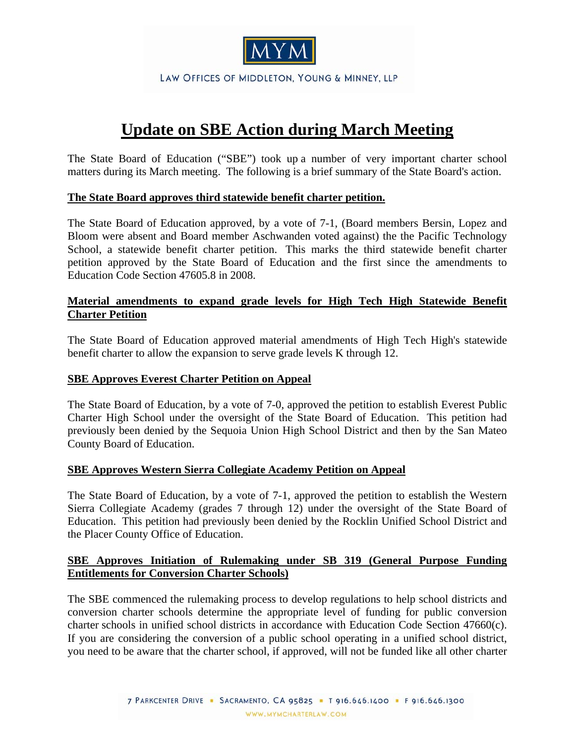

LAW OFFICES OF MIDDLETON, YOUNG & MINNEY, LLP

# **Update on SBE Action during March Meeting**

The State Board of Education ("SBE") took up a number of very important charter school matters during its March meeting. The following is a brief summary of the State Board's action.

#### **The State Board approves third statewide benefit charter petition.**

The State Board of Education approved, by a vote of 7-1, (Board members Bersin, Lopez and Bloom were absent and Board member Aschwanden voted against) the the Pacific Technology School, a statewide benefit charter petition. This marks the third statewide benefit charter petition approved by the State Board of Education and the first since the amendments to Education Code Section 47605.8 in 2008.

### **Material amendments to expand grade levels for High Tech High Statewide Benefit Charter Petition**

The State Board of Education approved material amendments of High Tech High's statewide benefit charter to allow the expansion to serve grade levels K through 12.

#### **SBE Approves Everest Charter Petition on Appeal**

The State Board of Education, by a vote of 7-0, approved the petition to establish Everest Public Charter High School under the oversight of the State Board of Education. This petition had previously been denied by the Sequoia Union High School District and then by the San Mateo County Board of Education.

#### **SBE Approves Western Sierra Collegiate Academy Petition on Appeal**

The State Board of Education, by a vote of 7-1, approved the petition to establish the Western Sierra Collegiate Academy (grades 7 through 12) under the oversight of the State Board of Education. This petition had previously been denied by the Rocklin Unified School District and the Placer County Office of Education.

## **SBE Approves Initiation of Rulemaking under SB 319 (General Purpose Funding Entitlements for Conversion Charter Schools)**

The SBE commenced the rulemaking process to develop regulations to help school districts and conversion charter schools determine the appropriate level of funding for public conversion charter schools in unified school districts in accordance with Education Code Section 47660(c). If you are considering the conversion of a public school operating in a unified school district, you need to be aware that the charter school, if approved, will not be funded like all other charter